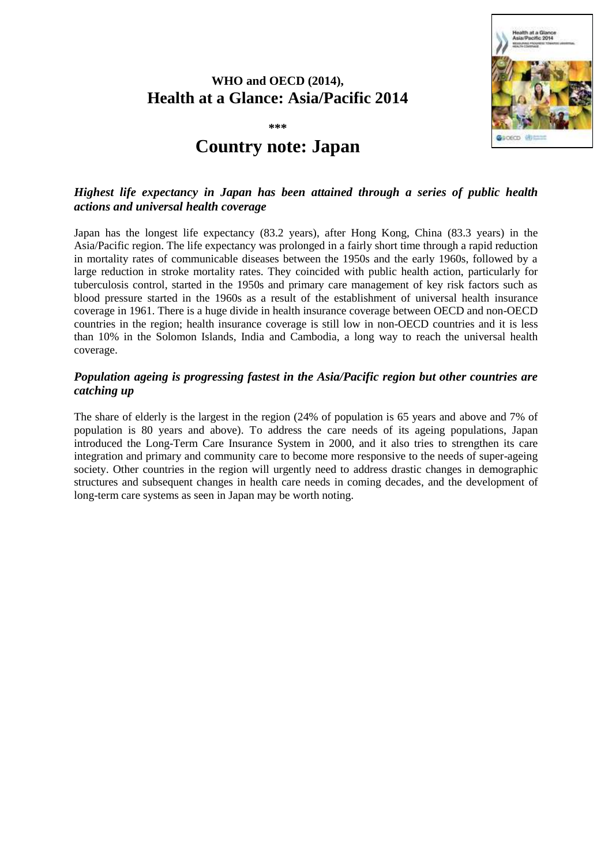## **WHO and OECD (2014), Health at a Glance: Asia/Pacific 2014**



**\*\*\***

# **Country note: Japan**

#### *Highest life expectancy in Japan has been attained through a series of public health actions and universal health coverage*

Japan has the longest life expectancy (83.2 years), after Hong Kong, China (83.3 years) in the Asia/Pacific region. The life expectancy was prolonged in a fairly short time through a rapid reduction in mortality rates of communicable diseases between the 1950s and the early 1960s, followed by a large reduction in stroke mortality rates. They coincided with public health action, particularly for tuberculosis control, started in the 1950s and primary care management of key risk factors such as blood pressure started in the 1960s as a result of the establishment of universal health insurance coverage in 1961. There is a huge divide in health insurance coverage between OECD and non-OECD countries in the region; health insurance coverage is still low in non-OECD countries and it is less than 10% in the Solomon Islands, India and Cambodia, a long way to reach the universal health coverage.

### *Population ageing is progressing fastest in the Asia/Pacific region but other countries are catching up*

The share of elderly is the largest in the region (24% of population is 65 years and above and 7% of population is 80 years and above). To address the care needs of its ageing populations, Japan introduced the Long-Term Care Insurance System in 2000, and it also tries to strengthen its care integration and primary and community care to become more responsive to the needs of super-ageing society. Other countries in the region will urgently need to address drastic changes in demographic structures and subsequent changes in health care needs in coming decades, and the development of long-term care systems as seen in Japan may be worth noting.